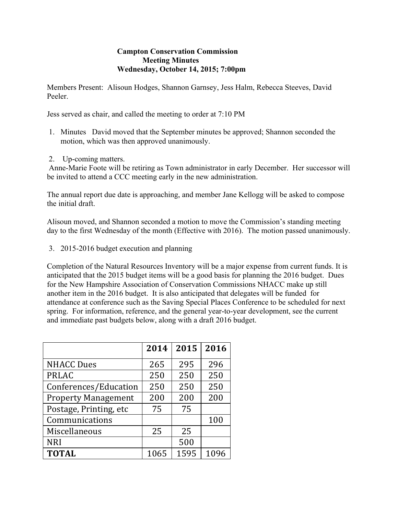## **Campton Conservation Commission Meeting Minutes Wednesday, October 14, 2015; 7:00pm**

Members Present: Alisoun Hodges, Shannon Garnsey, Jess Halm, Rebecca Steeves, David Peeler.

Jess served as chair, and called the meeting to order at 7:10 PM

- 1. Minutes David moved that the September minutes be approved; Shannon seconded the motion, which was then approved unanimously.
- 2. Up-coming matters.

Anne-Marie Foote will be retiring as Town administrator in early December. Her successor will be invited to attend a CCC meeting early in the new administration.

The annual report due date is approaching, and member Jane Kellogg will be asked to compose the initial draft.

Alisoun moved, and Shannon seconded a motion to move the Commission's standing meeting day to the first Wednesday of the month (Effective with 2016). The motion passed unanimously.

3. 2015-2016 budget execution and planning

Completion of the Natural Resources Inventory will be a major expense from current funds. It is anticipated that the 2015 budget items will be a good basis for planning the 2016 budget. Dues for the New Hampshire Association of Conservation Commissions NHACC make up still another item in the 2016 budget. It is also anticipated that delegates will be funded for attendance at conference such as the Saving Special Places Conference to be scheduled for next spring. For information, reference, and the general year-to-year development, see the current and immediate past budgets below, along with a draft 2016 budget.

|                            | 2014 | 2015 | 2016 |
|----------------------------|------|------|------|
| <b>NHACC Dues</b>          | 265  | 295  | 296  |
| <b>PRLAC</b>               | 250  | 250  | 250  |
| Conferences/Education      | 250  | 250  | 250  |
| <b>Property Management</b> | 200  | 200  | 200  |
| Postage, Printing, etc     | 75   | 75   |      |
| Communications             |      |      | 100  |
| Miscellaneous              | 25   | 25   |      |
| <b>NRI</b>                 |      | 500  |      |
| <b>TOTAL</b>               | 1065 | 1595 | 1096 |